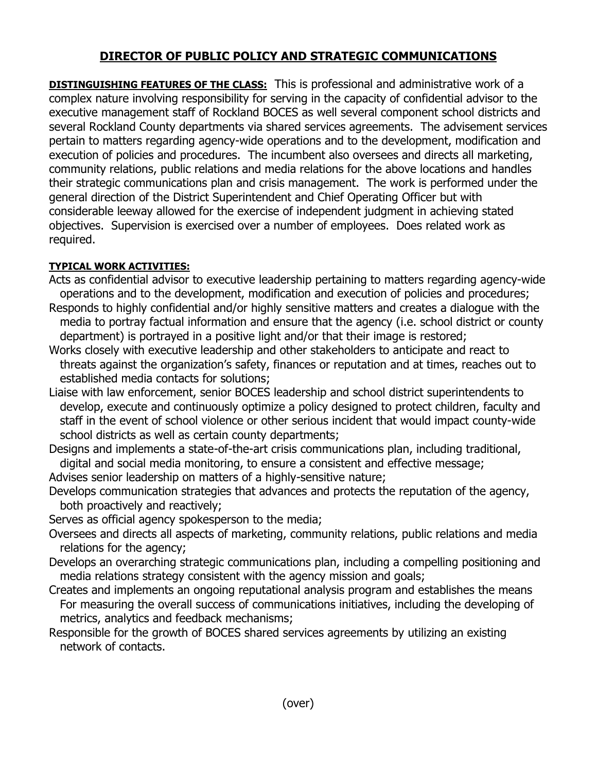## **DIRECTOR OF PUBLIC POLICY AND STRATEGIC COMMUNICATIONS**

**DISTINGUISHING FEATURES OF THE CLASS:** This is professional and administrative work of a complex nature involving responsibility for serving in the capacity of confidential advisor to the executive management staff of Rockland BOCES as well several component school districts and several Rockland County departments via shared services agreements. The advisement services pertain to matters regarding agency-wide operations and to the development, modification and execution of policies and procedures. The incumbent also oversees and directs all marketing, community relations, public relations and media relations for the above locations and handles their strategic communications plan and crisis management. The work is performed under the general direction of the District Superintendent and Chief Operating Officer but with considerable leeway allowed for the exercise of independent judgment in achieving stated objectives. Supervision is exercised over a number of employees. Does related work as required.

## **TYPICAL WORK ACTIVITIES:**

- Acts as confidential advisor to executive leadership pertaining to matters regarding agency-wide operations and to the development, modification and execution of policies and procedures;
- Responds to highly confidential and/or highly sensitive matters and creates a dialogue with the media to portray factual information and ensure that the agency (i.e. school district or county department) is portrayed in a positive light and/or that their image is restored;
- Works closely with executive leadership and other stakeholders to anticipate and react to threats against the organization's safety, finances or reputation and at times, reaches out to established media contacts for solutions;
- Liaise with law enforcement, senior BOCES leadership and school district superintendents to develop, execute and continuously optimize a policy designed to protect children, faculty and staff in the event of school violence or other serious incident that would impact county-wide school districts as well as certain county departments;
- Designs and implements a state-of-the-art crisis communications plan, including traditional, digital and social media monitoring, to ensure a consistent and effective message;
- Advises senior leadership on matters of a highly-sensitive nature;
- Develops communication strategies that advances and protects the reputation of the agency, both proactively and reactively;
- Serves as official agency spokesperson to the media;
- Oversees and directs all aspects of marketing, community relations, public relations and media relations for the agency;
- Develops an overarching strategic communications plan, including a compelling positioning and media relations strategy consistent with the agency mission and goals;
- Creates and implements an ongoing reputational analysis program and establishes the means For measuring the overall success of communications initiatives, including the developing of metrics, analytics and feedback mechanisms;
- Responsible for the growth of BOCES shared services agreements by utilizing an existing network of contacts.